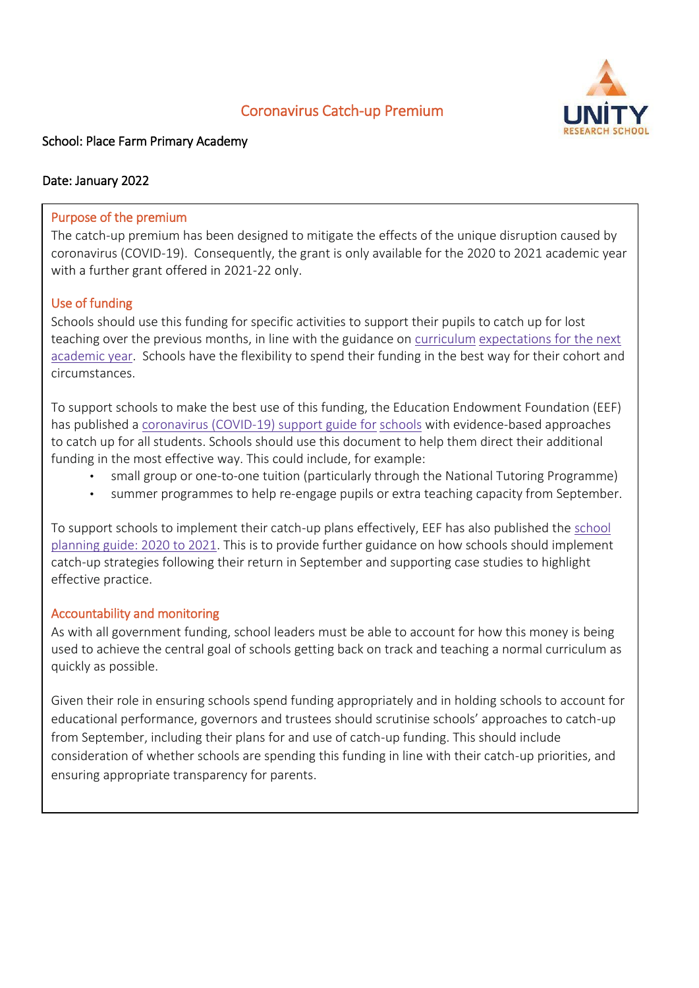# Coronavirus Catch-up Premium



### School: Place Farm Primary Academy

#### Date: January 2022

#### Purpose of the premium

The catch-up premium has been designed to mitigate the effects of the unique disruption caused by coronavirus (COVID-19). Consequently, the grant is only available for the 2020 to 2021 academic year with a further grant offered in 2021-22 only.

#### Use of funding

Schools should use this funding for specific activities to support their pupils to catch up for lost teaching over the previous months, in line with the guidance o[n](https://www.gov.uk/government/publications/actions-for-schools-during-the-coronavirus-outbreak/guidance-for-full-opening-schools#section-3-curriculum-behaviour-and-pastoral-support) [curriculum](https://www.gov.uk/government/publications/actions-for-schools-during-the-coronavirus-outbreak/guidance-for-full-opening-schools#section-3-curriculum-behaviour-and-pastoral-support) [expectations](https://www.gov.uk/government/publications/actions-for-schools-during-the-coronavirus-outbreak/guidance-for-full-opening-schools#section-3-curriculum-behaviour-and-pastoral-support) [for](https://www.gov.uk/government/publications/actions-for-schools-during-the-coronavirus-outbreak/guidance-for-full-opening-schools#section-3-curriculum-behaviour-and-pastoral-support) [the](https://www.gov.uk/government/publications/actions-for-schools-during-the-coronavirus-outbreak/guidance-for-full-opening-schools#section-3-curriculum-behaviour-and-pastoral-support) [next](https://www.gov.uk/government/publications/actions-for-schools-during-the-coronavirus-outbreak/guidance-for-full-opening-schools#section-3-curriculum-behaviour-and-pastoral-support) [academic](https://www.gov.uk/government/publications/actions-for-schools-during-the-coronavirus-outbreak/guidance-for-full-opening-schools#section-3-curriculum-behaviour-and-pastoral-support) [year.](https://www.gov.uk/government/publications/actions-for-schools-during-the-coronavirus-outbreak/guidance-for-full-opening-schools#section-3-curriculum-behaviour-and-pastoral-support) Schools have the flexibility to spend their funding in the best way for their cohort and circumstances.

To support schools to make the best use of this funding, the Education Endowment Foundation (EEF) has published [a](https://educationendowmentfoundation.org.uk/covid-19-resources/covid-19-support-guide-for-schools/#nav-covid-19-support-guide-for-schools1) [coronavirus](https://educationendowmentfoundation.org.uk/covid-19-resources/covid-19-support-guide-for-schools/#nav-covid-19-support-guide-for-schools1) [\(COVID-19\)](https://educationendowmentfoundation.org.uk/covid-19-resources/covid-19-support-guide-for-schools/#nav-covid-19-support-guide-for-schools1) [support](https://educationendowmentfoundation.org.uk/covid-19-resources/covid-19-support-guide-for-schools/#nav-covid-19-support-guide-for-schools1) [guide](https://educationendowmentfoundation.org.uk/covid-19-resources/covid-19-support-guide-for-schools/#nav-covid-19-support-guide-for-schools1) [for](https://educationendowmentfoundation.org.uk/covid-19-resources/covid-19-support-guide-for-schools/#nav-covid-19-support-guide-for-schools1) [schools](https://educationendowmentfoundation.org.uk/covid-19-resources/covid-19-support-guide-for-schools/#nav-covid-19-support-guide-for-schools1) with evidence-based approaches to catch up for all students. Schools should use this document to help them direct their additional funding in the most effective way. This could include, for example:

- small group or one-to-one tuition (particularly through the National Tutoring Programme)
- summer programmes to help re-engage pupils or extra teaching capacity from September.

To support schools to implement their catch-up plans effectively, EEF has also published th[e](https://educationendowmentfoundation.org.uk/covid-19-resources/guide-to-supporting-schools-planning/) [school](https://educationendowmentfoundation.org.uk/covid-19-resources/guide-to-supporting-schools-planning/) [planning](https://educationendowmentfoundation.org.uk/covid-19-resources/guide-to-supporting-schools-planning/) [guide:](https://educationendowmentfoundation.org.uk/covid-19-resources/guide-to-supporting-schools-planning/) [2020](https://educationendowmentfoundation.org.uk/covid-19-resources/guide-to-supporting-schools-planning/) [to](https://educationendowmentfoundation.org.uk/covid-19-resources/guide-to-supporting-schools-planning/) [2021.](https://educationendowmentfoundation.org.uk/covid-19-resources/guide-to-supporting-schools-planning/) This is to provide further guidance on how schools should implement catch-up strategies following their return in September and supporting case studies to highlight effective practice.

#### Accountability and monitoring

As with all government funding, school leaders must be able to account for how this money is being used to achieve the central goal of schools getting back on track and teaching a normal curriculum as quickly as possible.

Given their role in ensuring schools spend funding appropriately and in holding schools to account for educational performance, governors and trustees should scrutinise schools' approaches to catch-up from September, including their plans for and use of catch-up funding. This should include consideration of whether schools are spending this funding in line with their catch-up priorities, and ensuring appropriate transparency for parents.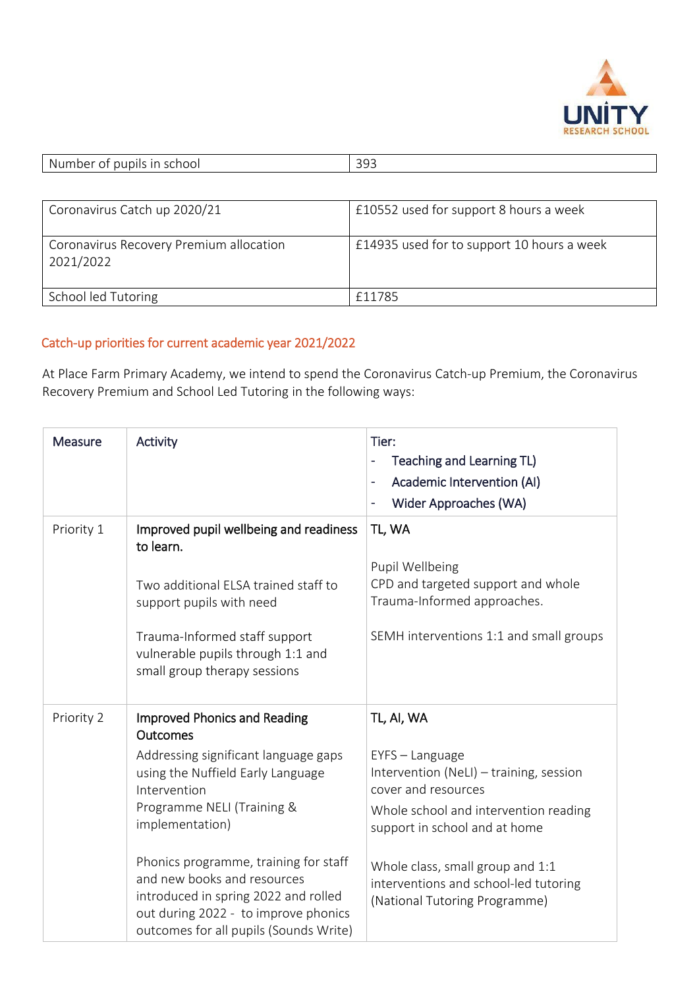

| -Ni<br>.<br>$ -$<br>$\sim$<br>ool<br>$\sim$<br>וeפו<br>m<br>n i<br>.<br>$\sim$<br>.<br>ີ | $\cap$ $\cap$<br>--- |
|------------------------------------------------------------------------------------------|----------------------|
|                                                                                          |                      |

| Coronavirus Catch up 2020/21                         | £10552 used for support 8 hours a week     |
|------------------------------------------------------|--------------------------------------------|
| Coronavirus Recovery Premium allocation<br>2021/2022 | £14935 used for to support 10 hours a week |
| School led Tutoring                                  | £11785                                     |

## Catch-up priorities for current academic year 2021/2022

At Place Farm Primary Academy, we intend to spend the Coronavirus Catch-up Premium, the Coronavirus Recovery Premium and School Led Tutoring in the following ways:

| <b>Measure</b> | Activity                                                                                                                                                                                                                                                                                                                                                                                        | Tier:<br>Teaching and Learning TL)<br>Academic Intervention (AI)<br>Wider Approaches (WA)<br>٠                                                                                                                                                                                          |
|----------------|-------------------------------------------------------------------------------------------------------------------------------------------------------------------------------------------------------------------------------------------------------------------------------------------------------------------------------------------------------------------------------------------------|-----------------------------------------------------------------------------------------------------------------------------------------------------------------------------------------------------------------------------------------------------------------------------------------|
| Priority 1     | Improved pupil wellbeing and readiness<br>to learn.<br>Two additional ELSA trained staff to<br>support pupils with need<br>Trauma-Informed staff support<br>vulnerable pupils through 1:1 and<br>small group therapy sessions                                                                                                                                                                   | TL, WA<br>Pupil Wellbeing<br>CPD and targeted support and whole<br>Trauma-Informed approaches.<br>SEMH interventions 1:1 and small groups                                                                                                                                               |
| Priority 2     | <b>Improved Phonics and Reading</b><br>Outcomes<br>Addressing significant language gaps<br>using the Nuffield Early Language<br>Intervention<br>Programme NELI (Training &<br>implementation)<br>Phonics programme, training for staff<br>and new books and resources<br>introduced in spring 2022 and rolled<br>out during 2022 - to improve phonics<br>outcomes for all pupils (Sounds Write) | TL, AI, WA<br>EYFS - Language<br>Intervention (NeLI) - training, session<br>cover and resources<br>Whole school and intervention reading<br>support in school and at home<br>Whole class, small group and 1:1<br>interventions and school-led tutoring<br>(National Tutoring Programme) |